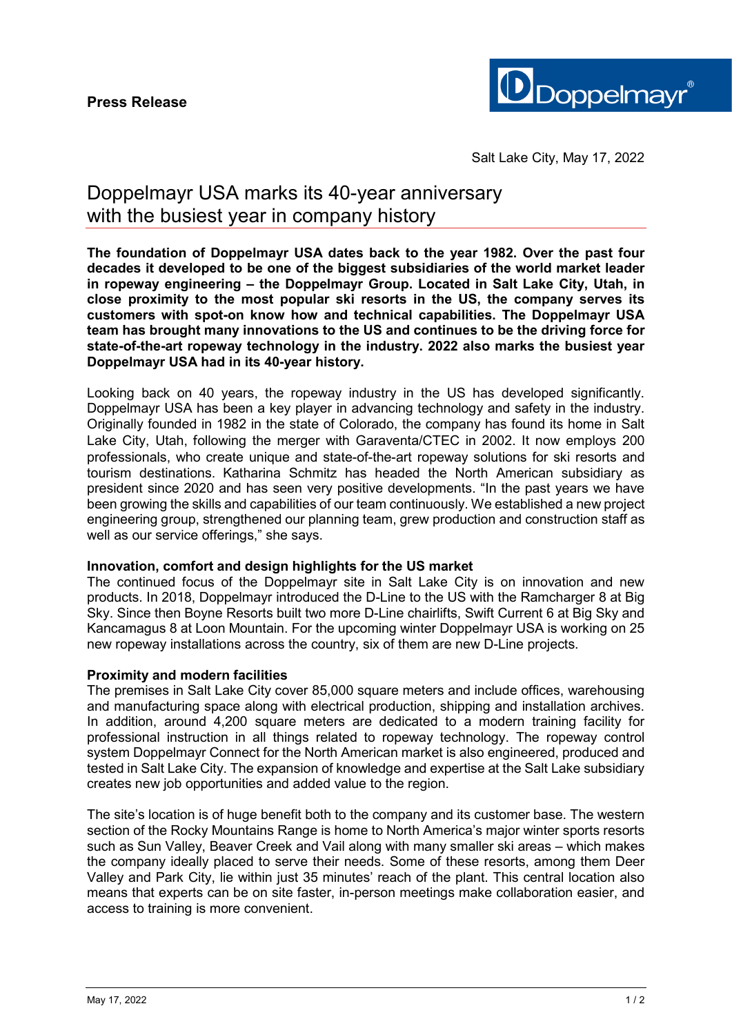

Salt Lake City, May 17, 2022

# Doppelmayr USA marks its 40-year anniversary with the busiest year in company history

**The foundation of Doppelmayr USA dates back to the year 1982. Over the past four decades it developed to be one of the biggest subsidiaries of the world market leader in ropeway engineering – the Doppelmayr Group. Located in Salt Lake City, Utah, in close proximity to the most popular ski resorts in the US, the company serves its customers with spot-on know how and technical capabilities. The Doppelmayr USA team has brought many innovations to the US and continues to be the driving force for state-of-the-art ropeway technology in the industry. 2022 also marks the busiest year Doppelmayr USA had in its 40-year history.**

Looking back on 40 years, the ropeway industry in the US has developed significantly. Doppelmayr USA has been a key player in advancing technology and safety in the industry. Originally founded in 1982 in the state of Colorado, the company has found its home in Salt Lake City, Utah, following the merger with Garaventa/CTEC in 2002. It now employs 200 professionals, who create unique and state-of-the-art ropeway solutions for ski resorts and tourism destinations. Katharina Schmitz has headed the North American subsidiary as president since 2020 and has seen very positive developments. "In the past years we have been growing the skills and capabilities of our team continuously. We established a new project engineering group, strengthened our planning team, grew production and construction staff as well as our service offerings," she says.

## **Innovation, comfort and design highlights for the US market**

The continued focus of the Doppelmayr site in Salt Lake City is on innovation and new products. In 2018, Doppelmayr introduced the D-Line to the US with the Ramcharger 8 at Big Sky. Since then Boyne Resorts built two more D-Line chairlifts, Swift Current 6 at Big Sky and Kancamagus 8 at Loon Mountain. For the upcoming winter Doppelmayr USA is working on 25 new ropeway installations across the country, six of them are new D-Line projects.

#### **Proximity and modern facilities**

The premises in Salt Lake City cover 85,000 square meters and include offices, warehousing and manufacturing space along with electrical production, shipping and installation archives. In addition, around 4,200 square meters are dedicated to a modern training facility for professional instruction in all things related to ropeway technology. The ropeway control system Doppelmayr Connect for the North American market is also engineered, produced and tested in Salt Lake City. The expansion of knowledge and expertise at the Salt Lake subsidiary creates new job opportunities and added value to the region.

The site's location is of huge benefit both to the company and its customer base. The western section of the Rocky Mountains Range is home to North America's major winter sports resorts such as Sun Valley, Beaver Creek and Vail along with many smaller ski areas – which makes the company ideally placed to serve their needs. Some of these resorts, among them Deer Valley and Park City, lie within just 35 minutes' reach of the plant. This central location also means that experts can be on site faster, in-person meetings make collaboration easier, and access to training is more convenient.